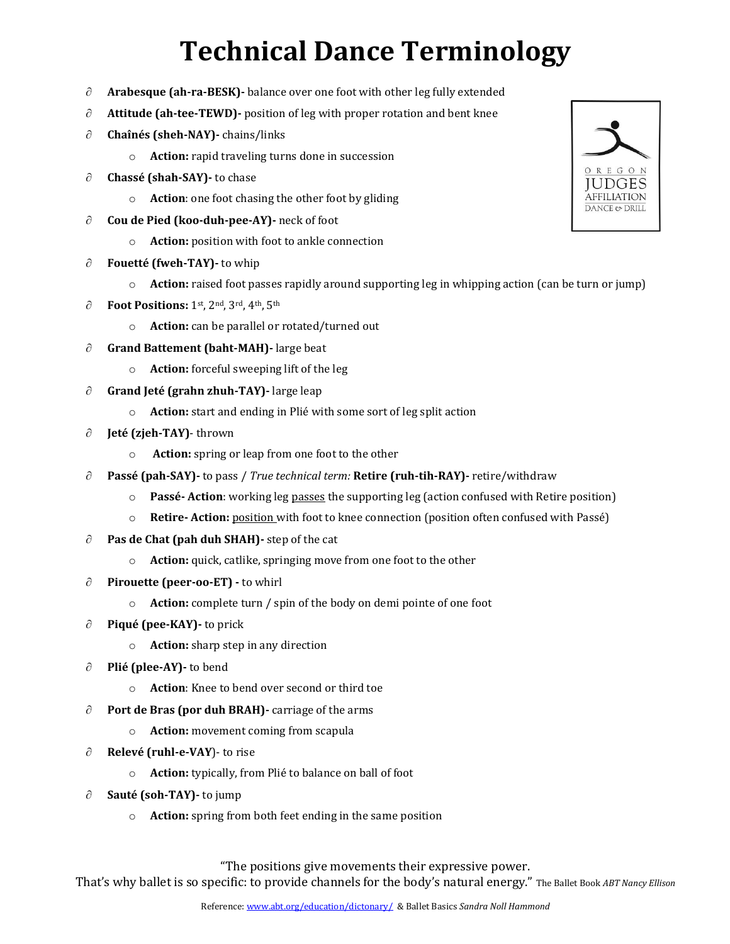## **Technical Dance Terminology**

- **Arabesque (ah-ra-BESK)-** balance over one foot with other leg fully extended
- $\partial$  **Attitude (ah-tee-TEWD)-** position of leg with proper rotation and bent knee
- **Chaînés (sheh-NAY)-** chains/links
	- o **Action:** rapid traveling turns done in succession
- ∂ **Chassé (shah-SAY)** to chase
	- o **Action**: one foot chasing the other foot by gliding
- **Cou de Pied (koo-duh-pee-AY)-** neck of foot
	- o **Action:** position with foot to ankle connection
- **Fouetté (fweh-TAY)-** to whip
	- o **Action:** raised foot passes rapidly around supporting leg in whipping action (can be turn or jump)
- **Foot Positions:** 1st, 2nd, 3rd, 4th, 5th
	- o **Action:** can be parallel or rotated/turned out
- **Grand Battement (baht-MAH)-** large beat
	- o **Action:** forceful sweeping lift of the leg
- **Grand Jeté (grahn zhuh-TAY)-** large leap
	- o **Action:** start and ending in Plié with some sort of leg split action
- **Jeté (zjeh-TAY)** thrown
	- o **Action:** spring or leap from one foot to the other
- **Passé (pah-SAY)-** to pass / *True technical term:* **Retire (ruh-tih-RAY)-** retire/withdraw
	- o **Passé- Action**: working leg passes the supporting leg (action confused with Retire position)
	- o **Retire- Action:** position with foot to knee connection (position often confused with Passé)
- $\partial$  **Pas de Chat (pah duh SHAH)** step of the cat
	- o **Action:** quick, catlike, springing move from one foot to the other
- **Pirouette (peer-oo-ET) -** to whirl
	- o **Action:** complete turn / spin of the body on demi pointe of one foot
- ∂ **Piqué (pee-KAY)** to prick
	- o **Action:** sharp step in any direction
- ∂ **Plié (plee-AY)** to bend
	- o **Action**: Knee to bend over second or third toe
- **Port de Bras (por duh BRAH)-** carriage of the arms
	- o **Action:** movement coming from scapula
- ∂ **Relevé (ruhl-e-VAY)** to rise
	- o **Action:** typically, from Plié to balance on ball of foot
- **Sauté (soh-TAY)-** to jump
	- o **Action:** spring from both feet ending in the same position

"The positions give movements their expressive power.

That's why ballet is so specific: to provide channels for the body's natural energy." The Ballet Book *ABT Nancy Ellison*